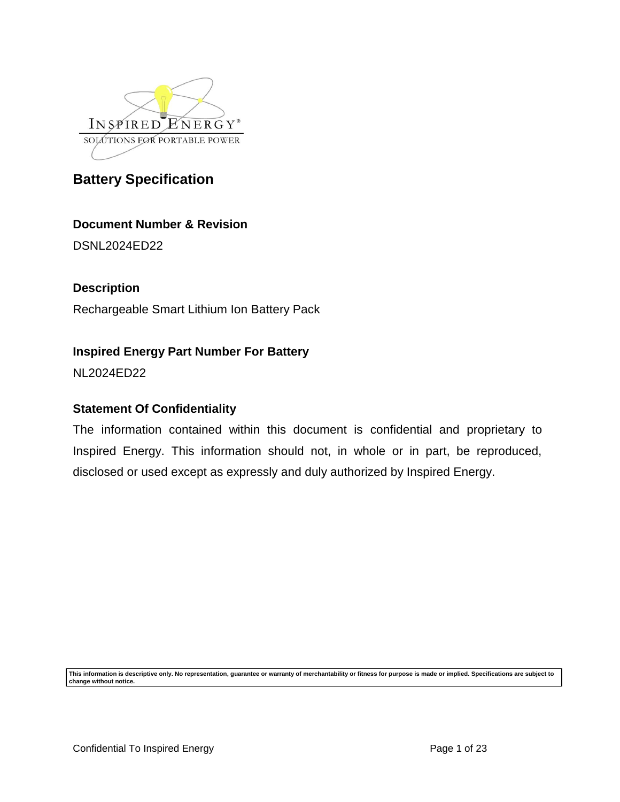

### **Document Number & Revision**

DSNL2024ED22

### **Description**

Rechargeable Smart Lithium Ion Battery Pack

### **Inspired Energy Part Number For Battery**

NL2024ED22

### **Statement Of Confidentiality**

The information contained within this document is confidential and proprietary to Inspired Energy. This information should not, in whole or in part, be reproduced, disclosed or used except as expressly and duly authorized by Inspired Energy.

**This information is descriptive only. No representation, guarantee or warranty of merchantability or fitness for purpose is made or implied. Specifications are subject to change without notice.**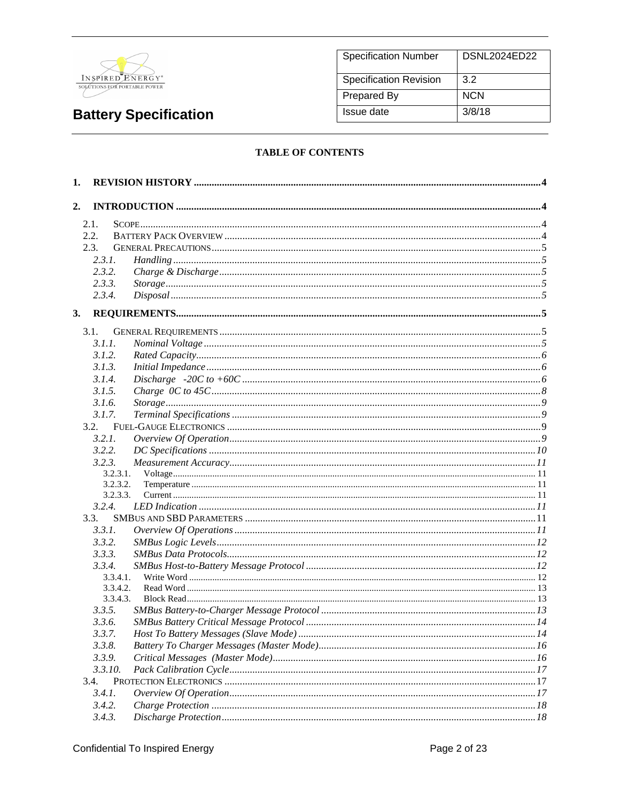

| <b>Specification Number</b>   | DSNL2024ED22 |
|-------------------------------|--------------|
| <b>Specification Revision</b> | 3.2          |
| Prepared By                   | <b>NCN</b>   |
| Issue date                    | 3/8/18       |

### **TABLE OF CONTENTS**

| 1.   |          |  |
|------|----------|--|
| 2.   |          |  |
| 2.1. |          |  |
|      | 2.2.     |  |
|      | 2.3.     |  |
|      | 2.3.1.   |  |
|      | 2.3.2.   |  |
|      | 2.3.3.   |  |
|      | 2.3.4.   |  |
| 3.   |          |  |
|      | 3.1.     |  |
|      | 3.1.1.   |  |
|      | 3.1.2.   |  |
|      | 3.1.3.   |  |
|      | 3.1.4.   |  |
|      | 3.1.5.   |  |
|      | 3.1.6.   |  |
|      | 3.1.7.   |  |
|      | 3.2.     |  |
|      | 3.2.1.   |  |
|      | 3.2.2.   |  |
|      | 3.2.3.   |  |
|      | 3.2.3.1. |  |
|      | 3.2.3.2. |  |
|      | 3.2.3.3. |  |
|      | 3.2.4.   |  |
|      | 3.3.     |  |
|      | 3.3.1.   |  |
|      | 3.3.2.   |  |
|      | 3.3.3.   |  |
|      | 3.3.4.   |  |
|      | 3.3.4.1. |  |
|      | 3.3.4.2. |  |
|      | 3.3.4.3. |  |
|      | 3.3.5.   |  |
|      | 3.3.6.   |  |
|      | 3.3.7.   |  |
|      | 3.3.8.   |  |
|      | 3.3.9.   |  |
|      | 3.3.10.  |  |
|      | 3.4.     |  |
|      | 3.4.1.   |  |
|      | 3.4.2.   |  |
|      | 3.4.3.   |  |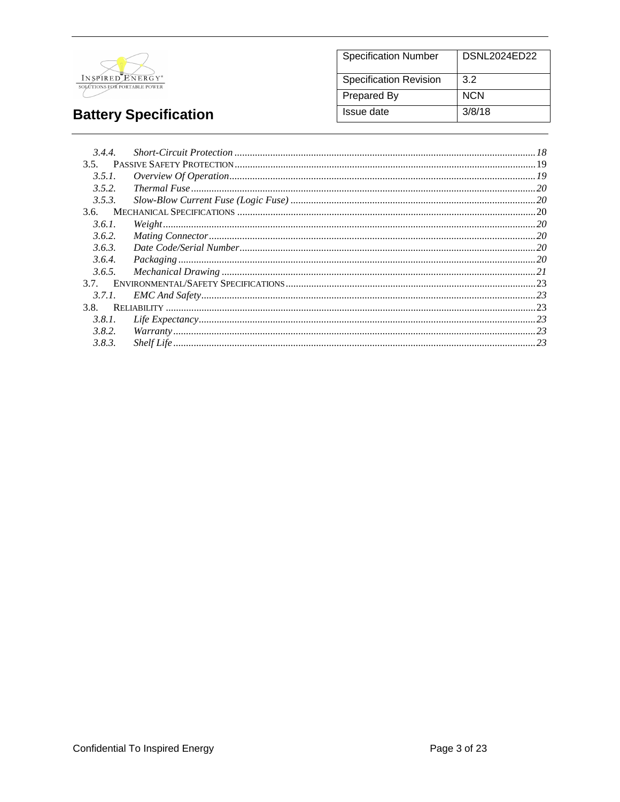

#### **Specification Number DSNL2024ED22** Specification Revision  $3.2$ **Prepared By NCN Issue date**  $3/8/18$

# **Battery Specification**

| 3.4.4. |           |  |
|--------|-----------|--|
| 3.5.   |           |  |
| 3.5.1. |           |  |
| 3.5.2. |           |  |
| 3.5.3. |           |  |
|        |           |  |
| 3.6.1. | Weight 20 |  |
| 3.6.2. |           |  |
| 3.6.3. |           |  |
| 3.6.4. |           |  |
| 3.6.5. |           |  |
| 3.7.   |           |  |
| 3.7.1. |           |  |
| 3.8.   |           |  |
| 3.8.1. |           |  |
| 3.8.2. |           |  |
| 3.8.3. |           |  |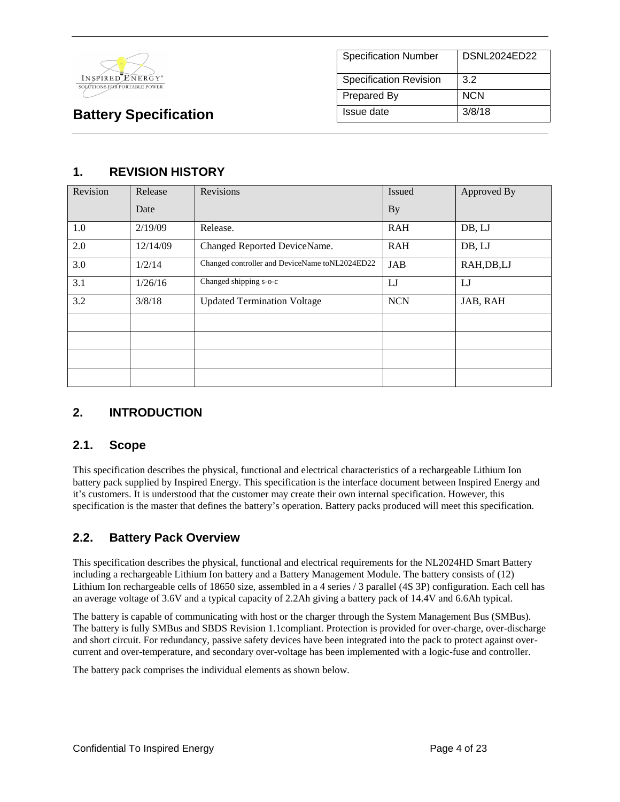

### **1. REVISION HISTORY**

| Revision | Release  | Revisions                                      | <b>Issued</b> | Approved By |
|----------|----------|------------------------------------------------|---------------|-------------|
|          | Date     |                                                | <b>By</b>     |             |
| 1.0      | 2/19/09  | Release.                                       | <b>RAH</b>    | DB, LJ      |
| 2.0      | 12/14/09 | Changed Reported DeviceName.                   | <b>RAH</b>    | DB, LJ      |
| 3.0      | 1/2/14   | Changed controller and DeviceName toNL2024ED22 | JAB           | RAH, DB, LJ |
| 3.1      | 1/26/16  | Changed shipping s-o-c                         | LJ            | $_{\rm LJ}$ |
| 3.2      | 3/8/18   | <b>Updated Termination Voltage</b>             | <b>NCN</b>    | JAB, RAH    |
|          |          |                                                |               |             |
|          |          |                                                |               |             |
|          |          |                                                |               |             |
|          |          |                                                |               |             |

### **2. INTRODUCTION**

### **2.1. Scope**

This specification describes the physical, functional and electrical characteristics of a rechargeable Lithium Ion battery pack supplied by Inspired Energy. This specification is the interface document between Inspired Energy and it's customers. It is understood that the customer may create their own internal specification. However, this specification is the master that defines the battery's operation. Battery packs produced will meet this specification.

### **2.2. Battery Pack Overview**

This specification describes the physical, functional and electrical requirements for the NL2024HD Smart Battery including a rechargeable Lithium Ion battery and a Battery Management Module. The battery consists of (12) Lithium Ion rechargeable cells of 18650 size, assembled in a 4 series / 3 parallel (4S 3P) configuration. Each cell has an average voltage of 3.6V and a typical capacity of 2.2Ah giving a battery pack of 14.4V and 6.6Ah typical.

The battery is capable of communicating with host or the charger through the System Management Bus (SMBus). The battery is fully SMBus and SBDS Revision 1.1compliant. Protection is provided for over-charge, over-discharge and short circuit. For redundancy, passive safety devices have been integrated into the pack to protect against overcurrent and over-temperature, and secondary over-voltage has been implemented with a logic-fuse and controller.

The battery pack comprises the individual elements as shown below.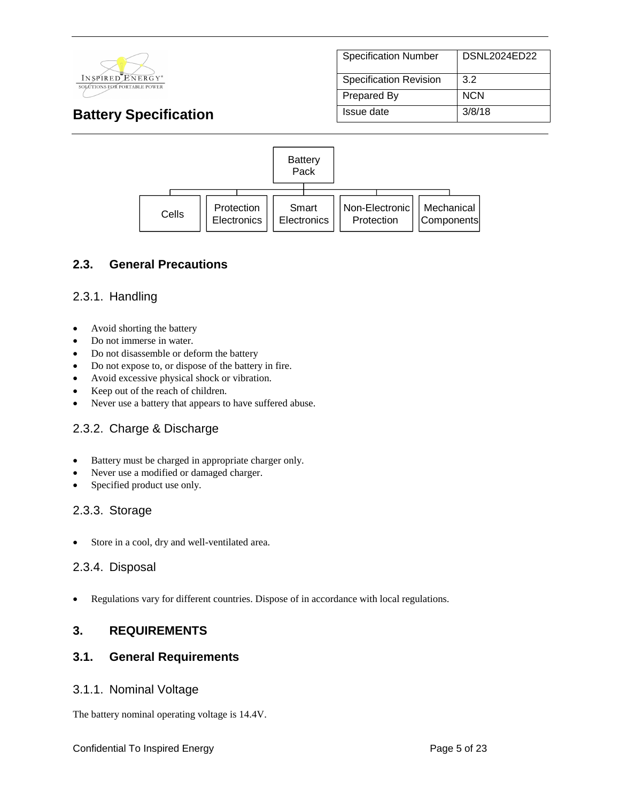

| <b>Specification Number</b>   | DSNL2024ED22 |
|-------------------------------|--------------|
| <b>Specification Revision</b> | 3.2          |
| Prepared By                   | NCN          |
| Issue date                    | 3/8/18       |



### **2.3. General Precautions**

### 2.3.1. Handling

- Avoid shorting the battery
- Do not immerse in water.
- Do not disassemble or deform the battery
- Do not expose to, or dispose of the battery in fire.
- Avoid excessive physical shock or vibration.
- Keep out of the reach of children.
- Never use a battery that appears to have suffered abuse.

### 2.3.2. Charge & Discharge

- Battery must be charged in appropriate charger only.
- Never use a modified or damaged charger.
- Specified product use only.

### 2.3.3. Storage

Store in a cool, dry and well-ventilated area.

### 2.3.4. Disposal

• Regulations vary for different countries. Dispose of in accordance with local regulations.

### **3. REQUIREMENTS**

### **3.1. General Requirements**

### 3.1.1. Nominal Voltage

The battery nominal operating voltage is 14.4V.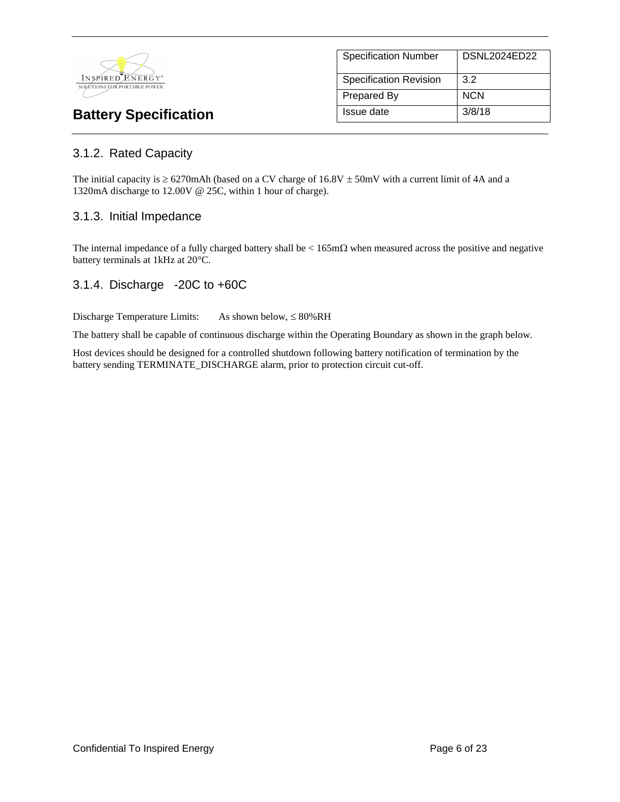

| <b>Specification Number</b>   | DSNL2024ED22 |
|-------------------------------|--------------|
| <b>Specification Revision</b> | 3.2          |
| <b>Prepared By</b>            | <b>NCN</b>   |
| Issue date                    | 3/8/18       |

### 3.1.2. Rated Capacity

The initial capacity is  $\geq 6270$ mAh (based on a CV charge of 16.8V  $\pm$  50mV with a current limit of 4A and a 1320mA discharge to 12.00V @ 25C, within 1 hour of charge).

### 3.1.3. Initial Impedance

The internal impedance of a fully charged battery shall be  $\lt 165 \text{m}\Omega$  when measured across the positive and negative battery terminals at 1kHz at 20°C.

### 3.1.4. Discharge -20C to +60C

Discharge Temperature Limits: As shown below,  $\leq 80\%RH$ 

The battery shall be capable of continuous discharge within the Operating Boundary as shown in the graph below.

Host devices should be designed for a controlled shutdown following battery notification of termination by the battery sending TERMINATE\_DISCHARGE alarm, prior to protection circuit cut-off.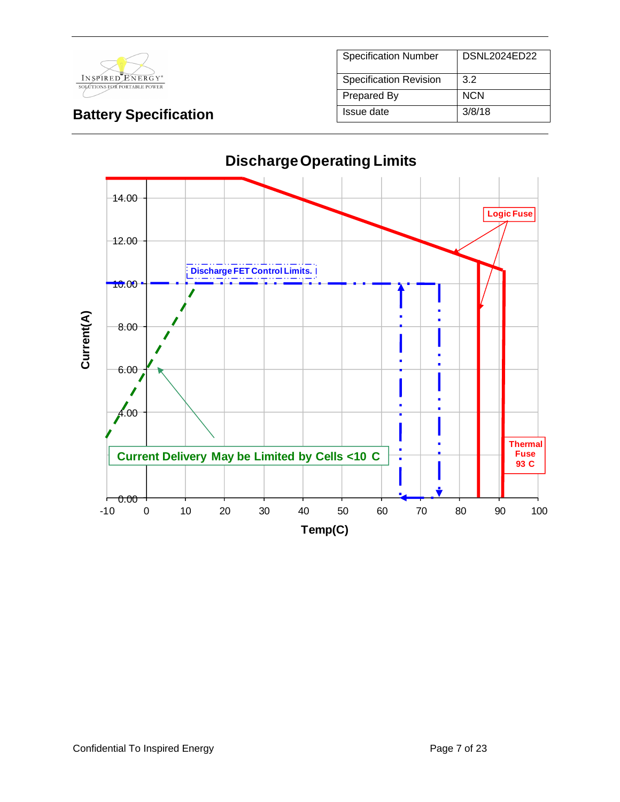

| <b>Specification Number</b>   | DSNL2024ED22 |
|-------------------------------|--------------|
| <b>Specification Revision</b> | 3.2          |
| Prepared By                   | <b>NCN</b>   |
| Issue date                    | 3/8/18       |

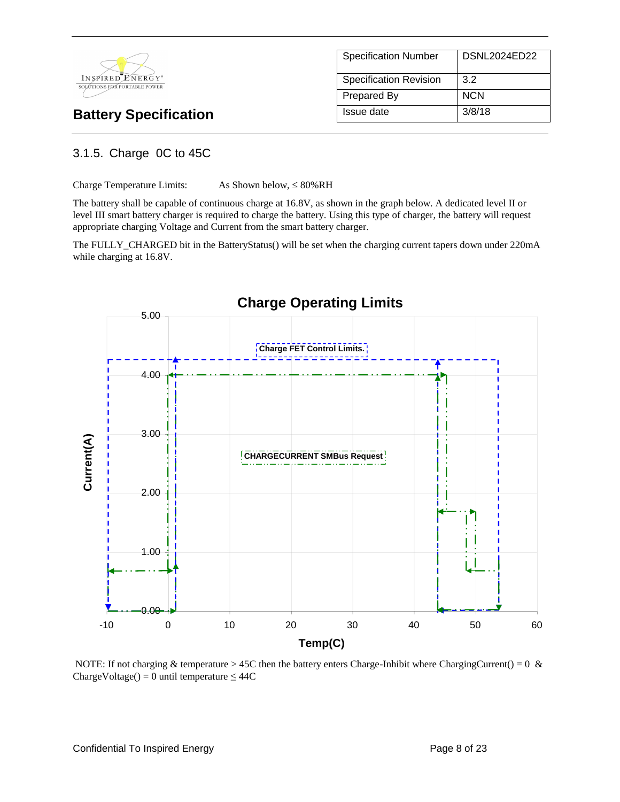

| <b>Specification Number</b>   | DSNL2024ED22 |
|-------------------------------|--------------|
| <b>Specification Revision</b> | 3.2          |
| Prepared By                   | <b>NCN</b>   |
| Issue date                    | 3/8/18       |

### 3.1.5. Charge 0C to 45C

Charge Temperature Limits: As Shown below,  $\leq 80\% \text{RH}$ 

The battery shall be capable of continuous charge at 16.8V, as shown in the graph below. A dedicated level II or level III smart battery charger is required to charge the battery. Using this type of charger, the battery will request appropriate charging Voltage and Current from the smart battery charger.

The FULLY\_CHARGED bit in the BatteryStatus() will be set when the charging current tapers down under 220mA while charging at 16.8V.



NOTE: If not charging & temperature > 45C then the battery enters Charge-Inhibit where ChargingCurrent() = 0  $\&$ ChargeVoltage() = 0 until temperature  $\leq$  44C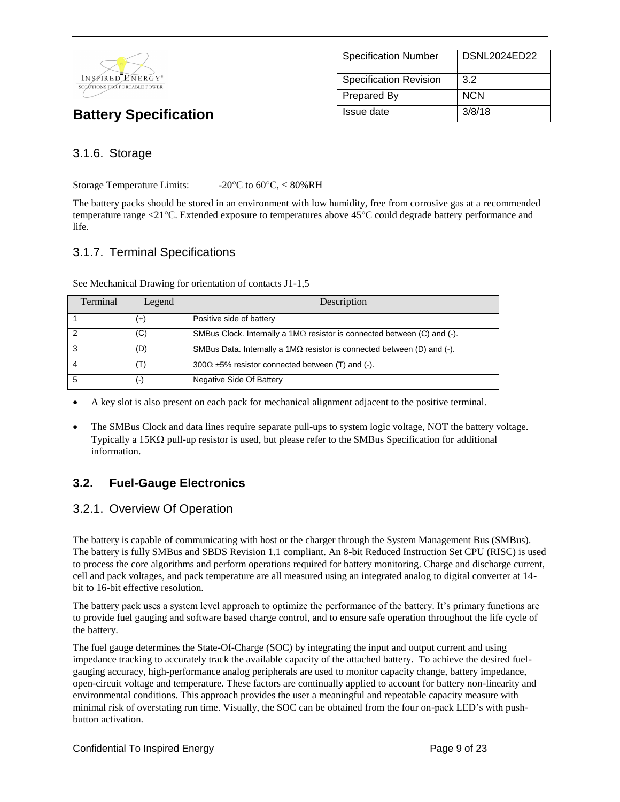

| <b>Specification Number</b>   | <b>DSNL2024ED22</b> |
|-------------------------------|---------------------|
| <b>Specification Revision</b> | 3.2                 |
| <b>Prepared By</b>            | <b>NCN</b>          |
| Issue date                    | 3/8/18              |

### 3.1.6. Storage

Storage Temperature Limits:  $-20^{\circ}$ C to 60 $^{\circ}$ C,  $\leq 80\%$ RH

The battery packs should be stored in an environment with low humidity, free from corrosive gas at a recommended temperature range <21°C. Extended exposure to temperatures above 45°C could degrade battery performance and life.

### 3.1.7. Terminal Specifications

See Mechanical Drawing for orientation of contacts J1-1,5

| Terminal | Legend             | Description                                                                     |
|----------|--------------------|---------------------------------------------------------------------------------|
|          | $(+)$              | Positive side of battery                                                        |
|          | (C)                | SMBus Clock. Internally a $1M\Omega$ resistor is connected between (C) and (-). |
| 3        | (D)                | SMBus Data. Internally a $1M\Omega$ resistor is connected between (D) and (-).  |
|          | $(\mathsf{T})$     | $300\Omega \pm 5\%$ resistor connected between (T) and (-).                     |
|          | $(\textnormal{-})$ | Negative Side Of Battery                                                        |

• A key slot is also present on each pack for mechanical alignment adjacent to the positive terminal.

• The SMBus Clock and data lines require separate pull-ups to system logic voltage, NOT the battery voltage. Typically a 15K $\Omega$  pull-up resistor is used, but please refer to the SMBus Specification for additional information.

### **3.2. Fuel-Gauge Electronics**

### 3.2.1. Overview Of Operation

The battery is capable of communicating with host or the charger through the System Management Bus (SMBus). The battery is fully SMBus and SBDS Revision 1.1 compliant. An 8-bit Reduced Instruction Set CPU (RISC) is used to process the core algorithms and perform operations required for battery monitoring. Charge and discharge current, cell and pack voltages, and pack temperature are all measured using an integrated analog to digital converter at 14 bit to 16-bit effective resolution.

The battery pack uses a system level approach to optimize the performance of the battery. It's primary functions are to provide fuel gauging and software based charge control, and to ensure safe operation throughout the life cycle of the battery.

The fuel gauge determines the State-Of-Charge (SOC) by integrating the input and output current and using impedance tracking to accurately track the available capacity of the attached battery. To achieve the desired fuelgauging accuracy, high-performance analog peripherals are used to monitor capacity change, battery impedance, open-circuit voltage and temperature. These factors are continually applied to account for battery non-linearity and environmental conditions. This approach provides the user a meaningful and repeatable capacity measure with minimal risk of overstating run time. Visually, the SOC can be obtained from the four on-pack LED's with pushbutton activation.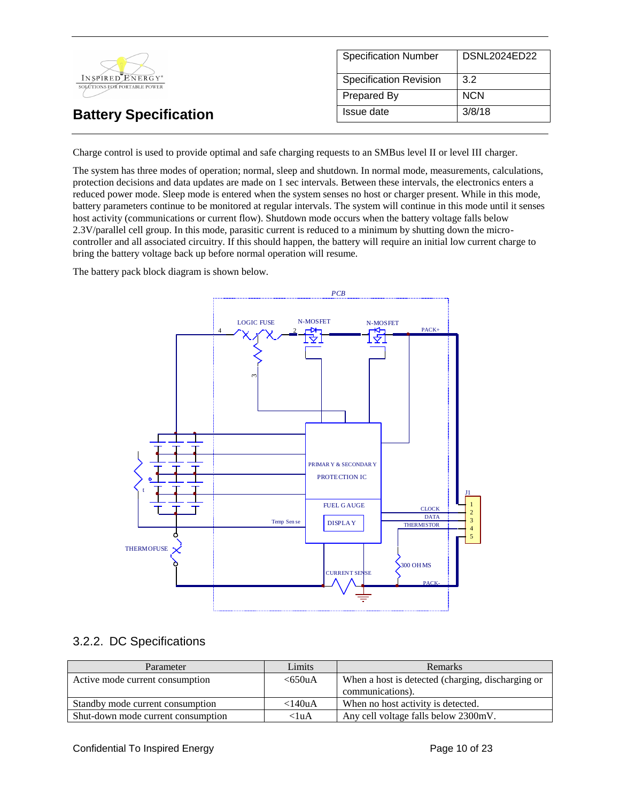|                                                              | <b>Specification Number</b>   | DSNL2024ED22 |
|--------------------------------------------------------------|-------------------------------|--------------|
| INSPIRED ENERGY <sup>*</sup><br>SOLÚTIONS FOR PORTABLE POWER | <b>Specification Revision</b> | 3.2          |
|                                                              | Prepared By                   | <b>NCN</b>   |
| <b>Battery Specification</b>                                 | Issue date                    | 3/8/18       |

Charge control is used to provide optimal and safe charging requests to an SMBus level II or level III charger.

The system has three modes of operation; normal, sleep and shutdown. In normal mode, measurements, calculations, protection decisions and data updates are made on 1 sec intervals. Between these intervals, the electronics enters a reduced power mode. Sleep mode is entered when the system senses no host or charger present. While in this mode, battery parameters continue to be monitored at regular intervals. The system will continue in this mode until it senses host activity (communications or current flow). Shutdown mode occurs when the battery voltage falls below 2.3V/parallel cell group. In this mode, parasitic current is reduced to a minimum by shutting down the microcontroller and all associated circuitry. If this should happen, the battery will require an initial low current charge to bring the battery voltage back up before normal operation will resume.

The battery pack block diagram is shown below.



### 3.2.2. DC Specifications

| Parameter                          | Limits          | <b>Remarks</b>                                    |
|------------------------------------|-----------------|---------------------------------------------------|
| Active mode current consumption    | < 650uA         | When a host is detected (charging, discharging or |
|                                    |                 | communications).                                  |
| Standby mode current consumption   | $<$ 140 $\mu$ A | When no host activity is detected.                |
| Shut-down mode current consumption | $< 1$ uA        | Any cell voltage falls below 2300mV.              |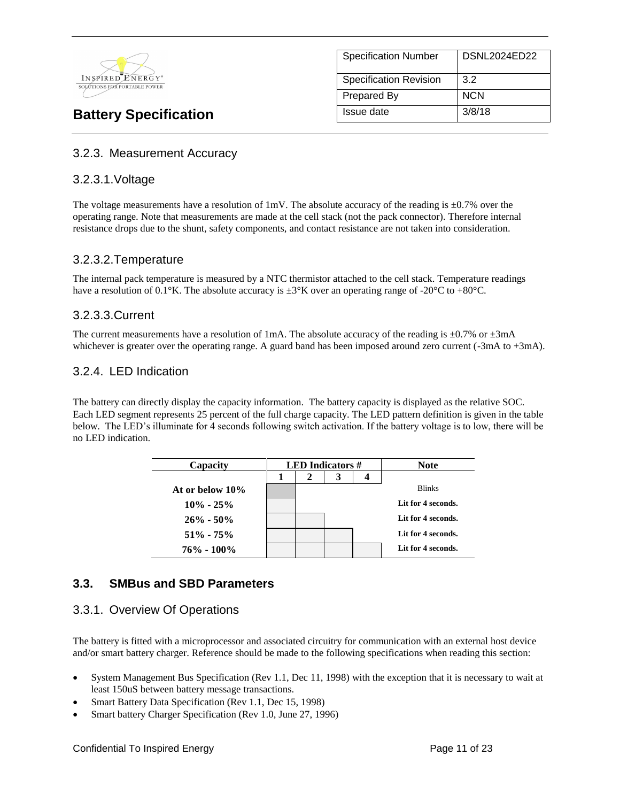

# Specification Number | DSNL2024ED22 Specification Revision 3.2 Prepared By NCN **Battery Specification Issue date** 3/8/18

### 3.2.3. Measurement Accuracy

### 3.2.3.1.Voltage

The voltage measurements have a resolution of 1mV. The absolute accuracy of the reading is  $\pm 0.7\%$  over the operating range. Note that measurements are made at the cell stack (not the pack connector). Therefore internal resistance drops due to the shunt, safety components, and contact resistance are not taken into consideration.

### 3.2.3.2.Temperature

The internal pack temperature is measured by a NTC thermistor attached to the cell stack. Temperature readings have a resolution of 0.1°K. The absolute accuracy is  $\pm 3$ °K over an operating range of -20°C to +80°C.

### 3.2.3.3.Current

The current measurements have a resolution of 1mA. The absolute accuracy of the reading is  $\pm 0.7\%$  or  $\pm 3$ mA whichever is greater over the operating range. A guard band has been imposed around zero current (-3mA to +3mA).

### 3.2.4. LED Indication

The battery can directly display the capacity information. The battery capacity is displayed as the relative SOC. Each LED segment represents 25 percent of the full charge capacity. The LED pattern definition is given in the table below. The LED's illuminate for 4 seconds following switch activation. If the battery voltage is to low, there will be no LED indication.

| Capacity        | <b>LED</b> Indicators $#$ |   | <b>Note</b> |  |                    |
|-----------------|---------------------------|---|-------------|--|--------------------|
|                 |                           | 2 | 3           |  |                    |
| At or below 10% |                           |   |             |  | <b>Blinks</b>      |
| $10\% - 25\%$   |                           |   |             |  | Lit for 4 seconds. |
| $26\% - 50\%$   |                           |   |             |  | Lit for 4 seconds. |
| $51\% - 75\%$   |                           |   |             |  | Lit for 4 seconds. |
| $76\% - 100\%$  |                           |   |             |  | Lit for 4 seconds. |

### **3.3. SMBus and SBD Parameters**

### 3.3.1. Overview Of Operations

The battery is fitted with a microprocessor and associated circuitry for communication with an external host device and/or smart battery charger. Reference should be made to the following specifications when reading this section:

- System Management Bus Specification (Rev 1.1, Dec 11, 1998) with the exception that it is necessary to wait at least 150uS between battery message transactions.
- Smart Battery Data Specification (Rev 1.1, Dec 15, 1998)
- Smart battery Charger Specification (Rev 1.0, June 27, 1996)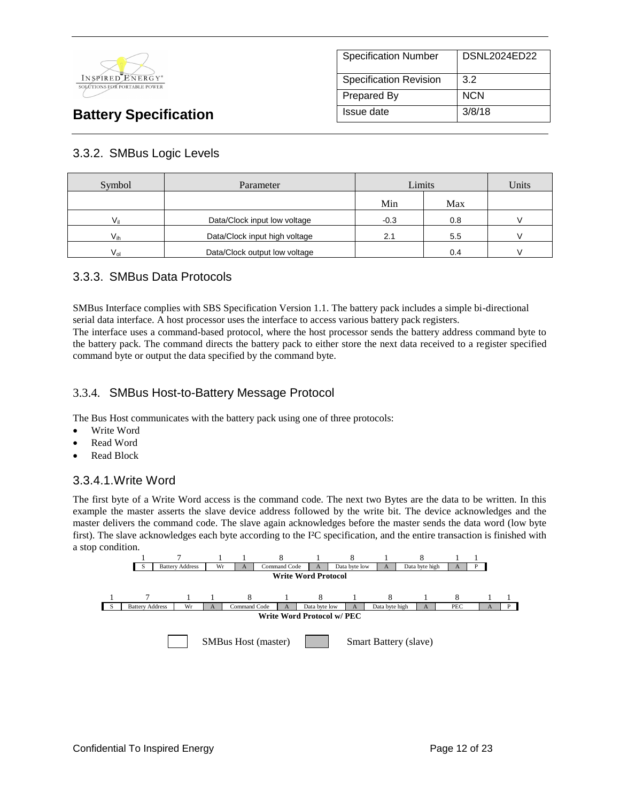

| <b>Specification Number</b>   | DSNL2024ED22 |
|-------------------------------|--------------|
| <b>Specification Revision</b> | 3.2          |
| <b>Prepared By</b>            | <b>NCN</b>   |
| Issue date                    | 3/8/18       |

### 3.3.2. SMBus Logic Levels

| Symbol   | Parameter                     | Limits |     | Units |
|----------|-------------------------------|--------|-----|-------|
|          |                               | Min    | Max |       |
| Vii      | Data/Clock input low voltage  | $-0.3$ | 0.8 |       |
| $V_{ih}$ | Data/Clock input high voltage | 2.1    | 5.5 |       |
| $V_{nl}$ | Data/Clock output low voltage |        | 0.4 |       |

### 3.3.3. SMBus Data Protocols

SMBus Interface complies with SBS Specification Version 1.1. The battery pack includes a simple bi-directional serial data interface. A host processor uses the interface to access various battery pack registers.

The interface uses a command-based protocol, where the host processor sends the battery address command byte to the battery pack. The command directs the battery pack to either store the next data received to a register specified command byte or output the data specified by the command byte.

### 3.3.4. SMBus Host-to-Battery Message Protocol

The Bus Host communicates with the battery pack using one of three protocols:

- Write Word
- Read Word
- Read Block

### 3.3.4.1.Write Word

The first byte of a Write Word access is the command code. The next two Bytes are the data to be written. In this example the master asserts the slave device address followed by the write bit. The device acknowledges and the master delivers the command code. The slave again acknowledges before the master sends the data word (low byte first). The slave acknowledges each byte according to the I²C specification, and the entire transaction is finished with a stop condition.

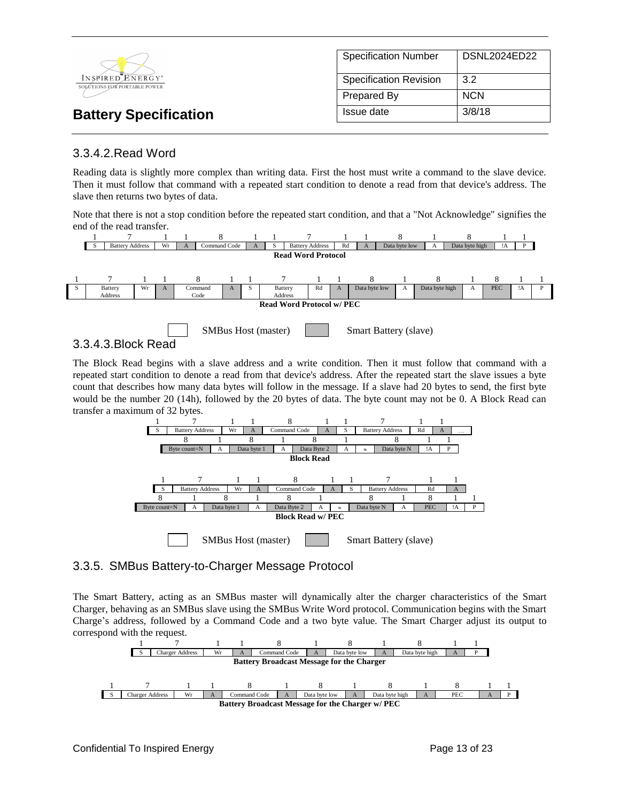

### 3.3.4.2.Read Word

Reading data is slightly more complex than writing data. First the host must write a command to the slave device. Then it must follow that command with a repeated start condition to denote a read from that device's address. The slave then returns two bytes of data.

Note that there is not a stop condition before the repeated start condition, and that a "Not Acknowledge" signifies the end of the read transfer.





3.3.4.3.Block Read

The Block Read begins with a slave address and a write condition. Then it must follow that command with a repeated start condition to denote a read from that device's address. After the repeated start the slave issues a byte count that describes how many data bytes will follow in the message. If a slave had 20 bytes to send, the first byte would be the number 20 (14h), followed by the 20 bytes of data. The byte count may not be 0. A Block Read can transfer a maximum of 32 bytes.



### 3.3.5. SMBus Battery-to-Charger Message Protocol

The Smart Battery, acting as an SMBus master will dynamically alter the charger characteristics of the Smart Charger, behaving as an SMBus slave using the SMBus Write Word protocol. Communication begins with the Smart Charge's address, followed by a Command Code and a two byte value. The Smart Charger adjust its output to correspond with the request.

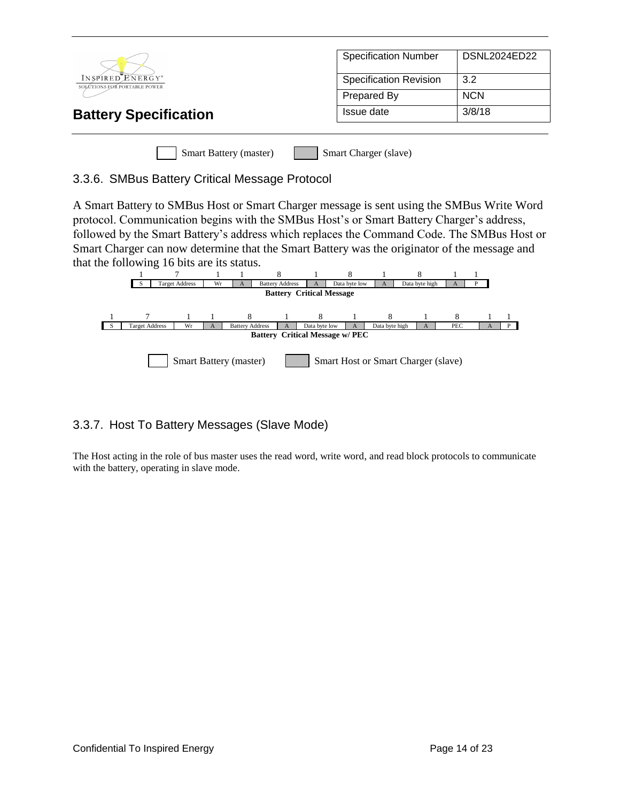|                                                  | <b>Specification Number</b>   | <b>DSNL2024ED22</b> |  |
|--------------------------------------------------|-------------------------------|---------------------|--|
| INSPIRED ENERGY*<br>SOLÚTIONS FOR PORTABLE POWER | <b>Specification Revision</b> | 3.2                 |  |
|                                                  | Prepared By                   | <b>NCN</b>          |  |
| <b>Battery Specification</b>                     | Issue date                    | 3/8/18              |  |
|                                                  |                               |                     |  |
| <b>Smart Battery (master)</b>                    | Smart Charger (slave)         |                     |  |

### 3.3.6. SMBus Battery Critical Message Protocol

A Smart Battery to SMBus Host or Smart Charger message is sent using the SMBus Write Word protocol. Communication begins with the SMBus Host's or Smart Battery Charger's address, followed by the Smart Battery's address which replaces the Command Code. The SMBus Host or Smart Charger can now determine that the Smart Battery was the originator of the message and that the following 16 bits are its status.



### 3.3.7. Host To Battery Messages (Slave Mode)

The Host acting in the role of bus master uses the read word, write word, and read block protocols to communicate with the battery, operating in slave mode.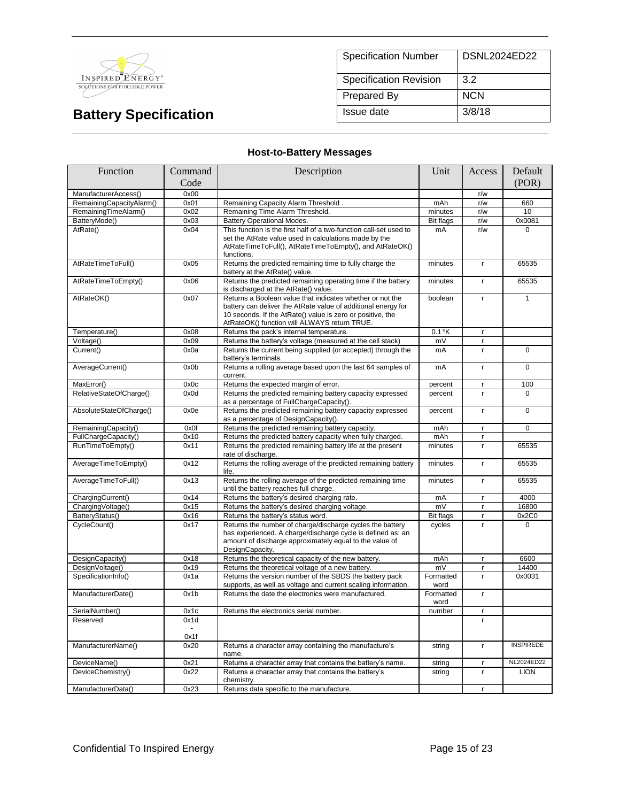

| <b>Specification Number</b>   | DSNL2024ED22 |
|-------------------------------|--------------|
| <b>Specification Revision</b> | 3.2          |
| Prepared By                   | <b>NCN</b>   |
| Issue date                    | 3/8/18       |

### **Host-to-Battery Messages**

| Function                 | Description<br>Command |                                                                                                                                                                                                                                          | Unit              | Access       | Default          |
|--------------------------|------------------------|------------------------------------------------------------------------------------------------------------------------------------------------------------------------------------------------------------------------------------------|-------------------|--------------|------------------|
|                          | Code                   |                                                                                                                                                                                                                                          |                   |              | (POR)            |
| ManufacturerAccess()     | 0x00                   |                                                                                                                                                                                                                                          |                   | r/w          |                  |
| RemainingCapacityAlarm() | 0x01                   | Remaining Capacity Alarm Threshold.                                                                                                                                                                                                      | mAh               | r/w          | 660              |
| RemainingTimeAlarm()     | 0x02                   | Remaining Time Alarm Threshold.                                                                                                                                                                                                          | minutes           | r/w          | 10               |
| BatteryMode()            | 0x03                   | <b>Battery Operational Modes.</b>                                                                                                                                                                                                        | <b>Bit flags</b>  | r/w          | 0x0081           |
| AtRate()                 | 0x04                   | This function is the first half of a two-function call-set used to<br>set the AtRate value used in calculations made by the<br>AtRateTimeToFull(), AtRateTimeToEmpty(), and AtRateOK()<br>functions.                                     | mA                | r/w          | $\Omega$         |
| AtRateTimeToFull()       | 0x05                   | Returns the predicted remaining time to fully charge the<br>battery at the AtRate() value.                                                                                                                                               | minutes           | r            | 65535            |
| AtRateTimeToEmpty()      | 0x06                   | Returns the predicted remaining operating time if the battery<br>is discharged at the AtRate() value.                                                                                                                                    | minutes           | r            | 65535            |
| AtRateOK()               | 0x07                   | Returns a Boolean value that indicates whether or not the<br>battery can deliver the AtRate value of additional energy for<br>10 seconds. If the AtRate() value is zero or positive, the<br>AtRateOK() function will ALWAYS return TRUE. | boolean           | $\mathbf{r}$ | $\mathbf{1}$     |
| Temperature()            | 0x08                   | Returns the pack's internal temperature.                                                                                                                                                                                                 | $0.1$ °K          | $\mathsf{r}$ |                  |
| Voltage()                | 0x09                   | Returns the battery's voltage (measured at the cell stack)                                                                                                                                                                               | mV                | r            |                  |
| Current()                | 0x0a                   | Returns the current being supplied (or accepted) through the<br>battery's terminals.                                                                                                                                                     | mA                | $\mathsf{r}$ | $\overline{0}$   |
| AverageCurrent()         | 0x0b                   | Returns a rolling average based upon the last 64 samples of<br>current.                                                                                                                                                                  | mA                | $\mathbf{r}$ | $\Omega$         |
| MaxError()               | 0x0c                   | Returns the expected margin of error.                                                                                                                                                                                                    | percent           | $\mathbf{r}$ | 100              |
| RelativeStateOfCharge()  | 0x0d                   | Returns the predicted remaining battery capacity expressed<br>as a percentage of FullChargeCapacity().                                                                                                                                   | percent           | $\mathbf{r}$ | $\Omega$         |
| AbsoluteStateOfCharge()  | 0x0e                   | Returns the predicted remaining battery capacity expressed<br>as a percentage of DesignCapacity().                                                                                                                                       | percent           | $\mathbf{r}$ | $\Omega$         |
| RemainingCapacity()      | 0x0f                   | Returns the predicted remaining battery capacity.                                                                                                                                                                                        | mAh               | $\mathsf{r}$ | 0                |
| FullChargeCapacity()     | 0x10                   | Returns the predicted battery capacity when fully charged.                                                                                                                                                                               | mAh               | $\mathbf{r}$ |                  |
| RunTimeToEmpty()         | 0x11                   | Returns the predicted remaining battery life at the present<br>rate of discharge.                                                                                                                                                        | minutes           | r            | 65535            |
| AverageTimeToEmpty()     | 0x12                   | Returns the rolling average of the predicted remaining battery<br>life.                                                                                                                                                                  | minutes           | r            | 65535            |
| AverageTimeToFull()      | 0x13                   | Returns the rolling average of the predicted remaining time<br>until the battery reaches full charge.                                                                                                                                    | minutes           | $\mathbf{r}$ | 65535            |
| ChargingCurrent()        | 0x14                   | Returns the battery's desired charging rate.                                                                                                                                                                                             | mA                | $\mathbf{r}$ | 4000             |
| ChargingVoltage()        | 0x15                   | Returns the battery's desired charging voltage.                                                                                                                                                                                          | mV                | $\mathbf{r}$ | 16800            |
| BatteryStatus()          | 0x16                   | Returns the battery's status word.                                                                                                                                                                                                       | <b>Bit flags</b>  | $\mathbf{r}$ | 0x2C0            |
| CycleCount()             | 0x17                   | Returns the number of charge/discharge cycles the battery<br>has experienced. A charge/discharge cycle is defined as: an<br>amount of discharge approximately equal to the value of<br>DesignCapacity.                                   | cycles            | $\mathsf{r}$ | $\Omega$         |
| DesignCapacity()         | 0x18                   | Returns the theoretical capacity of the new battery.                                                                                                                                                                                     | mAh               | $\mathbf{r}$ | 6600             |
| DesignVoltage()          | 0x19                   | Returns the theoretical voltage of a new battery.                                                                                                                                                                                        | mV                | r.           | 14400            |
| SpecificationInfo()      | 0x1a                   | Returns the version number of the SBDS the battery pack<br>supports, as well as voltage and current scaling information.                                                                                                                 | Formatted<br>word | r.           | 0x0031           |
| ManufacturerDate()       | 0x1b                   | Returns the date the electronics were manufactured.                                                                                                                                                                                      | Formatted<br>word | $\mathbf{r}$ |                  |
| SerialNumber()           | 0x1c                   | Returns the electronics serial number.                                                                                                                                                                                                   | number            | $\mathbf{r}$ |                  |
| Reserved                 | 0x1d                   |                                                                                                                                                                                                                                          |                   | $\mathsf{r}$ |                  |
|                          | 0x1f                   |                                                                                                                                                                                                                                          |                   |              |                  |
| ManufacturerName()       | 0x20                   | Returns a character array containing the manufacture's<br>name.                                                                                                                                                                          | string            | $\mathbf{r}$ | <b>INSPIREDE</b> |
| DeviceName()             | 0x21                   | Returns a character array that contains the battery's name.                                                                                                                                                                              | string            | $\mathbf{r}$ | NL2024ED22       |
| DeviceChemistry()        | 0x22                   | Returns a character array that contains the battery's<br>chemistry.                                                                                                                                                                      | string            | r            | <b>LION</b>      |
| ManufacturerData()       | 0x23                   | Returns data specific to the manufacture.                                                                                                                                                                                                |                   | $\mathbf{r}$ |                  |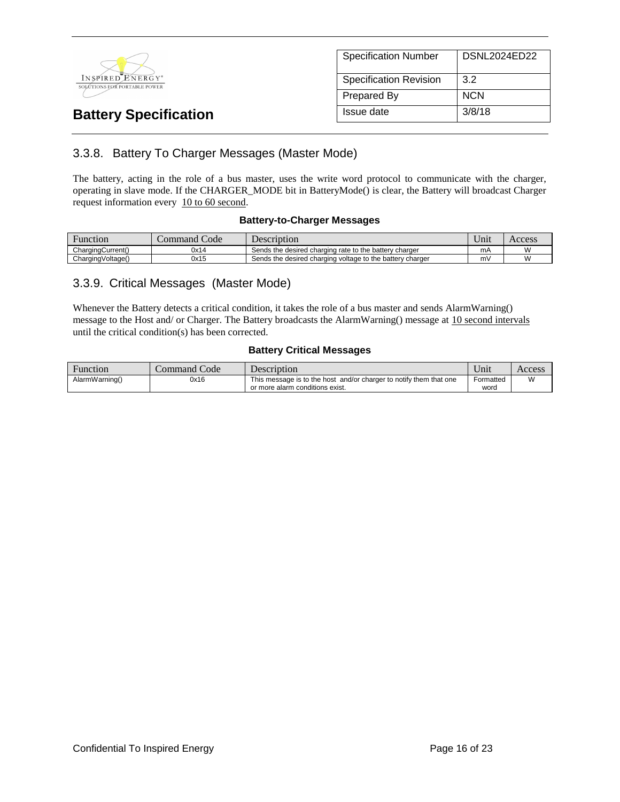

| <b>Specification Number</b>   | <b>DSNL2024ED22</b> |
|-------------------------------|---------------------|
| <b>Specification Revision</b> | 3.2                 |
| Prepared By                   | <b>NCN</b>          |
| Issue date                    | 3/8/18              |

### 3.3.8. Battery To Charger Messages (Master Mode)

The battery, acting in the role of a bus master, uses the write word protocol to communicate with the charger, operating in slave mode. If the CHARGER\_MODE bit in BatteryMode() is clear, the Battery will broadcast Charger request information every 10 to 60 second.

#### **Battery-to-Charger Messages**

| Function          | Code<br>command / | <b>Description</b>                                        | <b>Y</b> T<br>Jnıt | Access |
|-------------------|-------------------|-----------------------------------------------------------|--------------------|--------|
| ChargingCurrent() | 0x14              | Sends the desired charging rate to the battery charger    | mA                 |        |
| ChargingVoltage() | 0x15              | Sends the desired charging voltage to the battery charger | m١                 |        |

### 3.3.9. Critical Messages (Master Mode)

Whenever the Battery detects a critical condition, it takes the role of a bus master and sends AlarmWarning() message to the Host and/ or Charger. The Battery broadcasts the AlarmWarning() message at 10 second intervals until the critical condition(s) has been corrected.

#### **Battery Critical Messages**

| Function       | Command Code | Description                                                        | ∪m1       | Access |
|----------------|--------------|--------------------------------------------------------------------|-----------|--------|
| AlarmWarning() | 0x16         | This message is to the host and/or charger to notify them that one | Formatted | W      |
|                |              | or more alarm conditions exist.                                    | word      |        |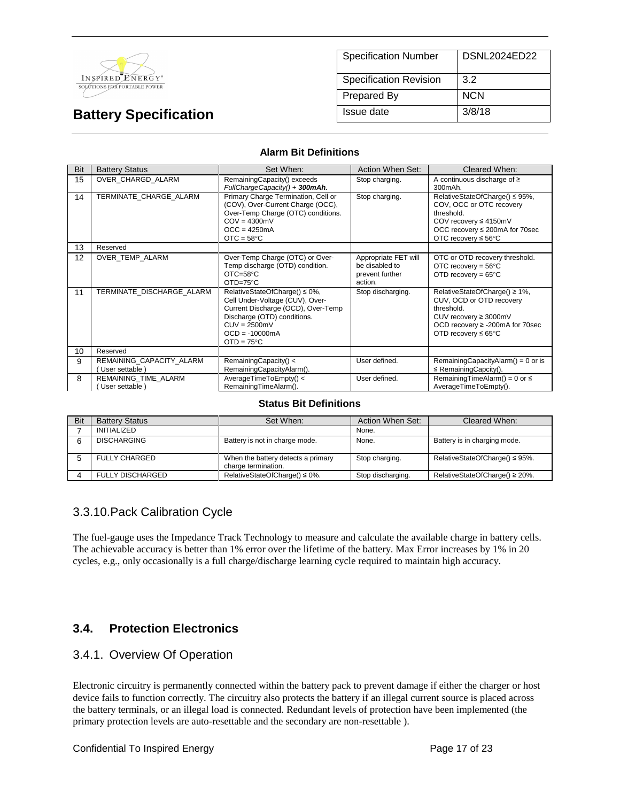

| <b>Specification Number</b>   | DSNL2024ED22 |
|-------------------------------|--------------|
| <b>Specification Revision</b> | 3.2          |
| Prepared By                   | <b>NCN</b>   |
| Issue date                    | 3/8/18       |

#### **Alarm Bit Definitions**

| Bit | <b>Battery Status</b>                      | Set When:                                                                                                                                                                                          | Action When Set:                                                     | Cleared When:                                                                                                                                                                 |
|-----|--------------------------------------------|----------------------------------------------------------------------------------------------------------------------------------------------------------------------------------------------------|----------------------------------------------------------------------|-------------------------------------------------------------------------------------------------------------------------------------------------------------------------------|
| 15  | OVER CHARGD ALARM                          | RemainingCapacity() exceeds<br>FullChargeCapacity() + 300mAh.                                                                                                                                      | Stop charging.                                                       | A continuous discharge of $\geq$<br>300mAh.                                                                                                                                   |
| 14  | TERMINATE CHARGE ALARM                     | Primary Charge Termination, Cell or<br>(COV), Over-Current Charge (OCC),<br>Over-Temp Charge (OTC) conditions.<br>$COV = 4300mV$<br>$OCC = 4250mA$<br>$OTC = 58°C$                                 | Stop charging.                                                       | RelativeStateOfCharge() ≤ 95%,<br>COV, OCC or OTC recovery<br>threshold.<br>COV recovery $\leq 4150$ mV<br>OCC recovery ≤ 200mA for 70sec<br>OTC recovery $\leq 56^{\circ}$ C |
| 13  | Reserved                                   |                                                                                                                                                                                                    |                                                                      |                                                                                                                                                                               |
| 12  | OVER TEMP ALARM                            | Over-Temp Charge (OTC) or Over-<br>Temp discharge (OTD) condition.<br>$OTC = 58°C$<br>$OTD=75^{\circ}C$                                                                                            | Appropriate FET will<br>be disabled to<br>prevent further<br>action. | OTC or OTD recovery threshold.<br>OTC recovery = $56^{\circ}$ C<br>OTD recovery = $65^{\circ}$ C                                                                              |
| 11  | TERMINATE DISCHARGE ALARM                  | RelativeStateOfCharge() ≤ 0%,<br>Cell Under-Voltage (CUV), Over-<br>Current Discharge (OCD), Over-Temp<br>Discharge (OTD) conditions.<br>$CUV = 2500mV$<br>$OCD = -10000mA$<br>$OTD = 75^{\circ}C$ | Stop discharging.                                                    | RelativeStateOfCharge() ≥ 1%,<br>CUV, OCD or OTD recovery<br>threshold.<br>CUV recovery $\geq$ 3000mV<br>OCD recovery ≥ -200mA for 70sec<br>OTD recovery $\leq 65^{\circ}$ C  |
| 10  | Reserved                                   |                                                                                                                                                                                                    |                                                                      |                                                                                                                                                                               |
| 9   | REMAINING CAPACITY ALARM<br>User settable) | RemainingCapacity() <<br>RemainingCapacityAlarm().                                                                                                                                                 | User defined.                                                        | RemainingCapacityAlarm() = $0$ or is<br>$\leq$ Remaining Capcity().                                                                                                           |
| 8   | REMAINING TIME ALARM<br>User settable)     | AverageTimeToEmpty() <<br>RemainingTimeAlarm().                                                                                                                                                    | User defined.                                                        | Remaining TimeAlarm() = 0 or $\leq$<br>AverageTimeToEmpty().                                                                                                                  |

#### **Status Bit Definitions**

| Bit | <b>Battery Status</b>   | Set When:                                                 | Action When Set:  | Cleared When:                       |
|-----|-------------------------|-----------------------------------------------------------|-------------------|-------------------------------------|
|     | INITIALIZED             |                                                           | None.             |                                     |
|     | <b>DISCHARGING</b>      | Battery is not in charge mode.                            | None.             | Battery is in charging mode.        |
|     | <b>FULLY CHARGED</b>    | When the battery detects a primary<br>charge termination. | Stop charging.    | RelativeStateOfCharge() $\leq$ 95%. |
|     | <b>FULLY DISCHARGED</b> | RelativeStateOfCharge() $\leq 0\%$ .                      | Stop discharging. | RelativeStateOfCharge() $\geq$ 20%. |

### 3.3.10.Pack Calibration Cycle

The fuel-gauge uses the Impedance Track Technology to measure and calculate the available charge in battery cells. The achievable accuracy is better than 1% error over the lifetime of the battery. Max Error increases by 1% in 20 cycles, e.g., only occasionally is a full charge/discharge learning cycle required to maintain high accuracy.

### **3.4. Protection Electronics**

### 3.4.1. Overview Of Operation

Electronic circuitry is permanently connected within the battery pack to prevent damage if either the charger or host device fails to function correctly. The circuitry also protects the battery if an illegal current source is placed across the battery terminals, or an illegal load is connected. Redundant levels of protection have been implemented (the primary protection levels are auto-resettable and the secondary are non-resettable ).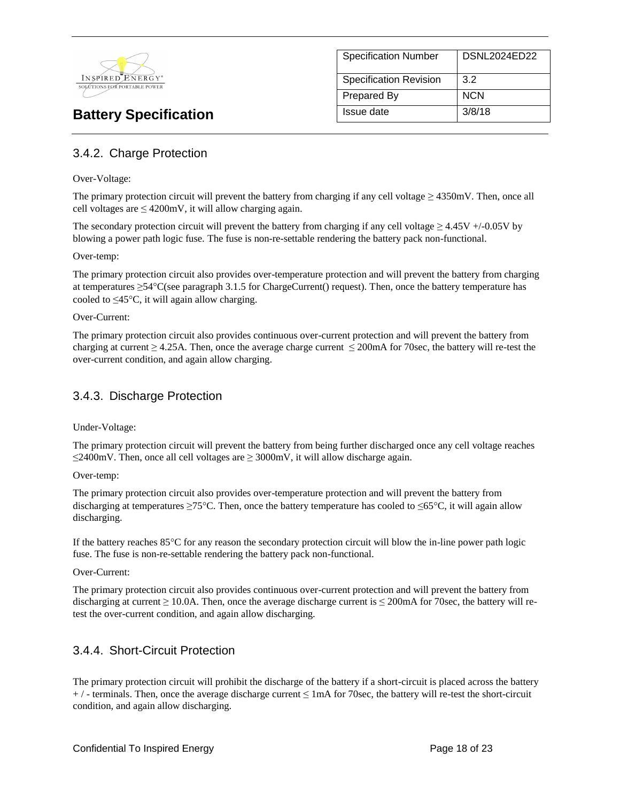

| <b>Specification Number</b>   | DSNL2024ED22 |
|-------------------------------|--------------|
| <b>Specification Revision</b> | 3.2          |
| <b>Prepared By</b>            | <b>NCN</b>   |
| Issue date                    | 3/8/18       |

### 3.4.2. Charge Protection

#### Over-Voltage:

The primary protection circuit will prevent the battery from charging if any cell voltage ≥ 4350mV. Then, once all cell voltages are  $\leq 4200$ mV, it will allow charging again.

The secondary protection circuit will prevent the battery from charging if any cell voltage  $\geq 4.45V + (-0.05V)$  by blowing a power path logic fuse. The fuse is non-re-settable rendering the battery pack non-functional.

#### Over-temp:

The primary protection circuit also provides over-temperature protection and will prevent the battery from charging at temperatures  $\geq 54^{\circ}$ C(see paragraph 3.1.5 for ChargeCurrent() request). Then, once the battery temperature has cooled to  $\leq 45^{\circ}$ C, it will again allow charging.

#### Over-Current:

The primary protection circuit also provides continuous over-current protection and will prevent the battery from charging at current  $\geq$  4.25A. Then, once the average charge current  $\leq$  200mA for 70sec, the battery will re-test the over-current condition, and again allow charging.

### 3.4.3. Discharge Protection

Under-Voltage:

The primary protection circuit will prevent the battery from being further discharged once any cell voltage reaches  $\leq$ 2400mV. Then, once all cell voltages are  $\geq$  3000mV, it will allow discharge again.

Over-temp:

The primary protection circuit also provides over-temperature protection and will prevent the battery from discharging at temperatures  $\geq 75^{\circ}$ C. Then, once the battery temperature has cooled to  $\leq 65^{\circ}$ C, it will again allow discharging.

If the battery reaches  $85^{\circ}$ C for any reason the secondary protection circuit will blow the in-line power path logic fuse. The fuse is non-re-settable rendering the battery pack non-functional.

Over-Current:

The primary protection circuit also provides continuous over-current protection and will prevent the battery from discharging at current  $\geq 10.0$ A. Then, once the average discharge current is  $\leq 200$ mA for 70sec, the battery will retest the over-current condition, and again allow discharging.

### 3.4.4. Short-Circuit Protection

The primary protection circuit will prohibit the discharge of the battery if a short-circuit is placed across the battery  $+$  / - terminals. Then, once the average discharge current  $\leq 1$  mA for 70sec, the battery will re-test the short-circuit condition, and again allow discharging.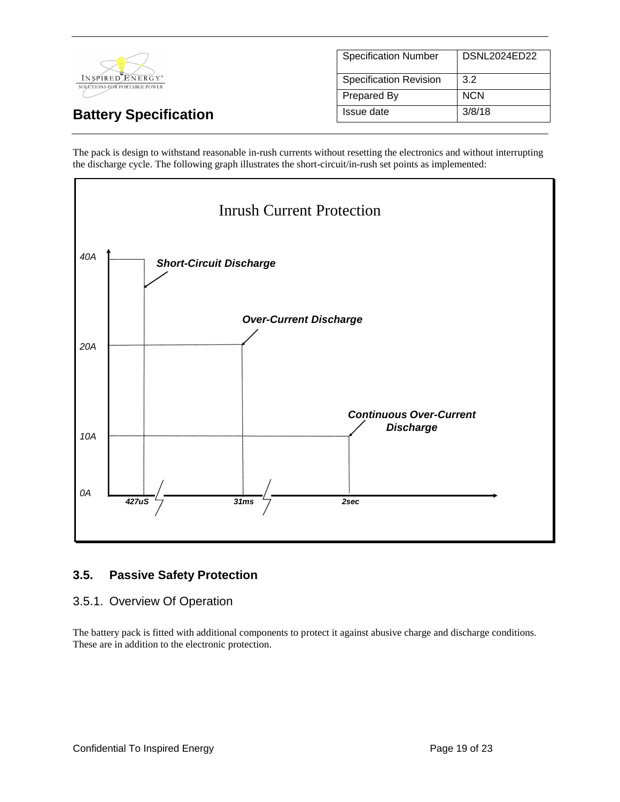

| <b>Specification Number</b>   | DSNL2024ED22 |
|-------------------------------|--------------|
| <b>Specification Revision</b> | 3.2          |
| <b>Prepared By</b>            | <b>NCN</b>   |
| Issue date                    | 3/8/18       |

The pack is design to withstand reasonable in-rush currents without resetting the electronics and without interrupting the discharge cycle. The following graph illustrates the short-circuit/in-rush set points as implemented:



### **3.5. Passive Safety Protection**

### 3.5.1. Overview Of Operation

The battery pack is fitted with additional components to protect it against abusive charge and discharge conditions. These are in addition to the electronic protection.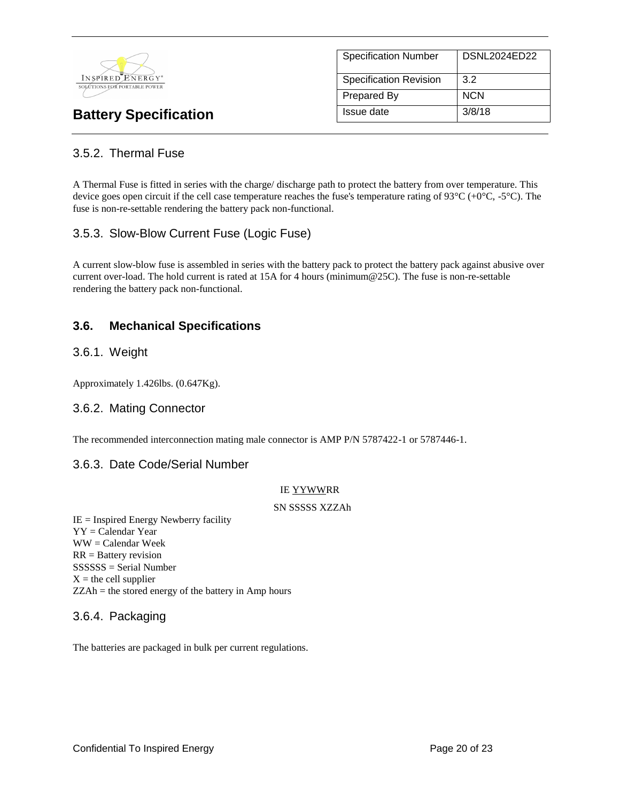

| <b>Specification Number</b>   | DSNL2024ED22 |
|-------------------------------|--------------|
| <b>Specification Revision</b> | 3.2          |
| <b>Prepared By</b>            | <b>NCN</b>   |
| Issue date                    | 3/8/18       |

### 3.5.2. Thermal Fuse

A Thermal Fuse is fitted in series with the charge/ discharge path to protect the battery from over temperature. This device goes open circuit if the cell case temperature reaches the fuse's temperature rating of  $93^{\circ}C (+0^{\circ}C, -5^{\circ}C)$ . The fuse is non-re-settable rendering the battery pack non-functional.

### 3.5.3. Slow-Blow Current Fuse (Logic Fuse)

A current slow-blow fuse is assembled in series with the battery pack to protect the battery pack against abusive over current over-load. The hold current is rated at 15A for 4 hours (minimum@25C). The fuse is non-re-settable rendering the battery pack non-functional.

### **3.6. Mechanical Specifications**

### 3.6.1. Weight

Approximately 1.426lbs. (0.647Kg).

### 3.6.2. Mating Connector

The recommended interconnection mating male connector is AMP P/N 5787422-1 or 5787446-1.

### 3.6.3. Date Code/Serial Number

#### IE YYWWRR

#### SN SSSSS XZZAh

IE = Inspired Energy Newberry facility YY = Calendar Year WW = Calendar Week RR = Battery revision SSSSSS = Serial Number  $X =$  the cell supplier ZZAh = the stored energy of the battery in Amp hours

### 3.6.4. Packaging

The batteries are packaged in bulk per current regulations.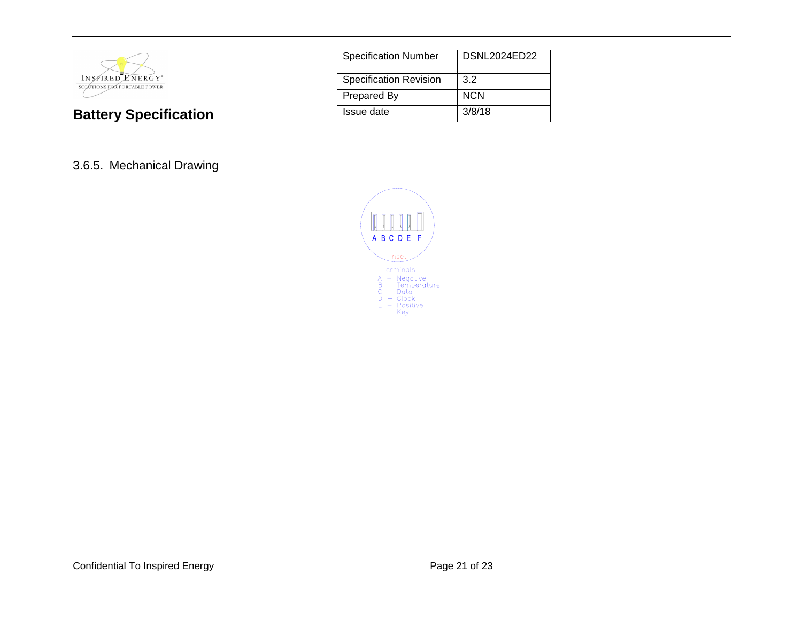

| <b>Specification Number</b>   | DSNL2024ED22 |
|-------------------------------|--------------|
| <b>Specification Revision</b> | 3.2          |
| <b>Prepared By</b>            | <b>NCN</b>   |
| Issue date                    | 3/8/18       |

### 3.6.5. Mechanical Drawing

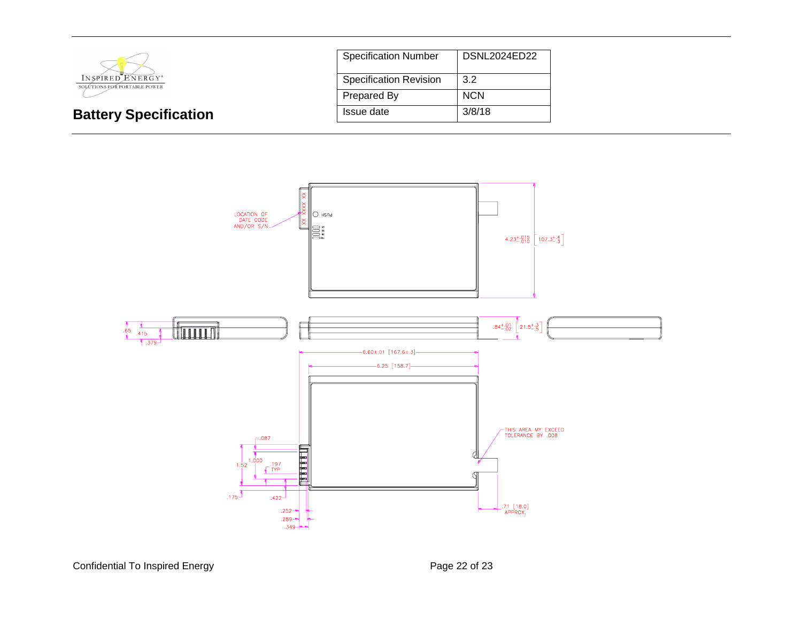

| <b>Specification Number</b>   | DSNL2024ED22 |
|-------------------------------|--------------|
| <b>Specification Revision</b> | 3.2          |
| Prepared By                   | <b>NCN</b>   |
| Issue date                    | 3/8/18       |